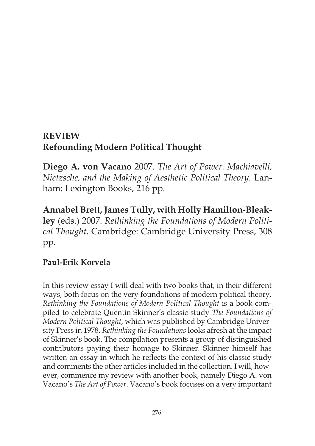# **REVIEW Refounding Modern Political Thought**

**Diego A. von Vacano** 2007. *The Art of Power. Machiavelli, Nietzsche, and the Making of Aesthetic Political Theory.* Lanham: Lexington Books, 216 pp.

**Annabel Brett, James Tully, with Holly Hamilton-Bleakley** (eds.) 2007. *Rethinking the Foundations of Modern Political Thought.* Cambridge: Cambridge University Press, 308 pp.

## **Paul-Erik Korvela**

In this review essay I will deal with two books that, in their different ways, both focus on the very foundations of modern political theory. *Rethinking the Foundations of Modern Political Thought* is a book compiled to celebrate Quentin Skinner's classic study *The Foundations of Modern Political Thought*, which was published by Cambridge University Press in 1978. *Rethinking the Foundations* looks afresh at the impact of Skinner's book. The compilation presents a group of distinguished contributors paying their homage to Skinner. Skinner himself has written an essay in which he reflects the context of his classic study and comments the other articles included in the collection. I will, however, commence my review with another book, namely Diego A. von Vacano's *The Art of Power*. Vacano's book focuses on a very important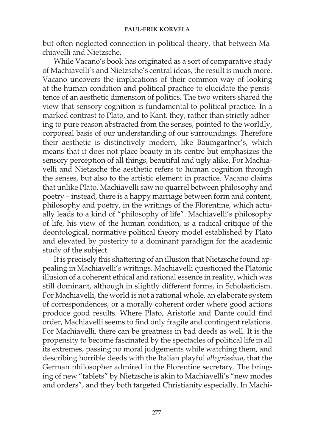but often neglected connection in political theory, that between Machiavelli and Nietzsche.

While Vacano's book has originated as a sort of comparative study of Machiavelli's and Nietzsche's central ideas, the result is much more. Vacano uncovers the implications of their common way of looking at the human condition and political practice to elucidate the persistence of an aesthetic dimension of politics. The two writers shared the view that sensory cognition is fundamental to political practice. In a marked contrast to Plato, and to Kant, they, rather than strictly adhering to pure reason abstracted from the senses, pointed to the worldly, corporeal basis of our understanding of our surroundings. Therefore their aesthetic is distinctively modern, like Baumgartner's, which means that it does not place beauty in its centre but emphasizes the sensory perception of all things, beautiful and ugly alike. For Machiavelli and Nietzsche the aesthetic refers to human cognition through the senses, but also to the artistic element in practice. Vacano claims that unlike Plato, Machiavelli saw no quarrel between philosophy and poetry – instead, there is a happy marriage between form and content, philosophy and poetry, in the writings of the Florentine, which actually leads to a kind of "philosophy of life". Machiavelli's philosophy of life, his view of the human condition, is a radical critique of the deontological, normative political theory model established by Plato and elevated by posterity to a dominant paradigm for the academic study of the subject.

It is precisely this shattering of an illusion that Nietzsche found appealing in Machiavelli's writings. Machiavelli questioned the Platonic illusion of a coherent ethical and rational essence in reality, which was still dominant, although in slightly different forms, in Scholasticism. For Machiavelli, the world is not a rational whole, an elaborate system of correspondences, or a morally coherent order where good actions produce good results. Where Plato, Aristotle and Dante could find order, Machiavelli seems to find only fragile and contingent relations. For Machiavelli, there can be greatness in bad deeds as well. It is the propensity to become fascinated by the spectacles of political life in all its extremes, passing no moral judgements while watching them, and describing horrible deeds with the Italian playful *allegrissimo*, that the German philosopher admired in the Florentine secretary. The bringing of new "tablets" by Nietzsche is akin to Machiavelli's "new modes and orders", and they both targeted Christianity especially. In Machi-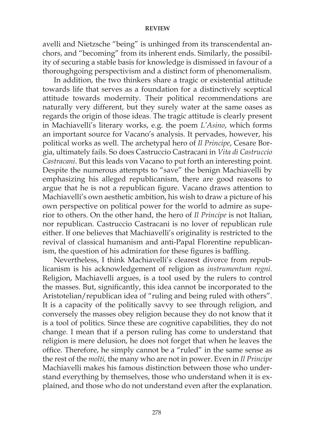avelli and Nietzsche "being" is unhinged from its transcendental anchors, and "becoming" from its inherent ends. Similarly, the possibility of securing a stable basis for knowledge is dismissed in favour of a thoroughgoing perspectivism and a distinct form of phenomenalism.

In addition, the two thinkers share a tragic or existential attitude towards life that serves as a foundation for a distinctively sceptical attitude towards modernity. Their political recommendations are naturally very different, but they surely water at the same oases as regards the origin of those ideas. The tragic attitude is clearly present in Machiavelli's literary works, e.g. the poem *L'Asino*, which forms an important source for Vacano's analysis. It pervades, however, his political works as well. The archetypal hero of *Il Principe*, Cesare Borgia, ultimately fails. So does Castruccio Castracani in *Vita di Castruccio Castracani*. But this leads von Vacano to put forth an interesting point. Despite the numerous attempts to "save" the benign Machiavelli by emphasizing his alleged republicanism, there are good reasons to argue that he is not a republican figure. Vacano draws attention to Machiavelli's own aesthetic ambition, his wish to draw a picture of his own perspective on political power for the world to admire as superior to others. On the other hand, the hero of *Il Principe* is not Italian, nor republican. Castruccio Castracani is no lover of republican rule either. If one believes that Machiavelli's originality is restricted to the revival of classical humanism and anti-Papal Florentine republicanism, the question of his admiration for these figures is baffling.

Nevertheless, I think Machiavelli's clearest divorce from republicanism is his acknowledgement of religion as *instrumentum regni*. Religion, Machiavelli argues, is a tool used by the rulers to control the masses. But, significantly, this idea cannot be incorporated to the Aristotelian/republican idea of "ruling and being ruled with others". It is a capacity of the politically savvy to see through religion, and conversely the masses obey religion because they do not know that it is a tool of politics. Since these are cognitive capabilities, they do not change. I mean that if a person ruling has come to understand that religion is mere delusion, he does not forget that when he leaves the office. Therefore, he simply cannot be a "ruled" in the same sense as the rest of the *molti,* the many who are not in power. Even in *Il Principe* Machiavelli makes his famous distinction between those who understand everything by themselves, those who understand when it is explained, and those who do not understand even after the explanation.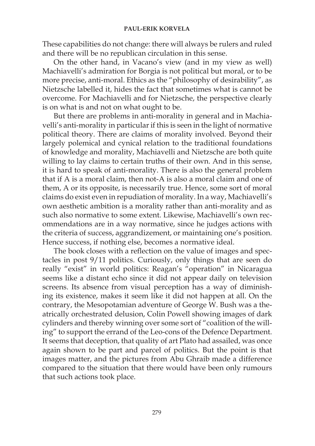These capabilities do not change: there will always be rulers and ruled and there will be no republican circulation in this sense.

On the other hand, in Vacano's view (and in my view as well) Machiavelli's admiration for Borgia is not political but moral, or to be more precise, anti-moral. Ethics as the "philosophy of desirability", as Nietzsche labelled it, hides the fact that sometimes what is cannot be overcome. For Machiavelli and for Nietzsche, the perspective clearly is on what is and not on what ought to be.

But there are problems in anti-morality in general and in Machiavelli's anti-morality in particular if this is seen in the light of normative political theory. There are claims of morality involved. Beyond their largely polemical and cynical relation to the traditional foundations of knowledge and morality, Machiavelli and Nietzsche are both quite willing to lay claims to certain truths of their own. And in this sense, it is hard to speak of anti-morality. There is also the general problem that if A is a moral claim, then not-A is also a moral claim and one of them, A or its opposite, is necessarily true. Hence, some sort of moral claims do exist even in repudiation of morality. In a way, Machiavelli's own aesthetic ambition is a morality rather than anti-morality and as such also normative to some extent. Likewise, Machiavelli's own recommendations are in a way normative, since he judges actions with the criteria of success, aggrandizement, or maintaining one's position. Hence success, if nothing else, becomes a normative ideal.

The book closes with a reflection on the value of images and spectacles in post 9/11 politics. Curiously, only things that are seen do really "exist" in world politics: Reagan's "operation" in Nicaragua seems like a distant echo since it did not appear daily on television screens. Its absence from visual perception has a way of diminishing its existence, makes it seem like it did not happen at all. On the contrary, the Mesopotamian adventure of George W. Bush was a theatrically orchestrated delusion, Colin Powell showing images of dark cylinders and thereby winning over some sort of "coalition of the willing" to support the errand of the Leo-cons of the Defence Department. It seems that deception, that quality of art Plato had assailed, was once again shown to be part and parcel of politics. But the point is that images matter, and the pictures from Abu Ghraib made a difference compared to the situation that there would have been only rumours that such actions took place.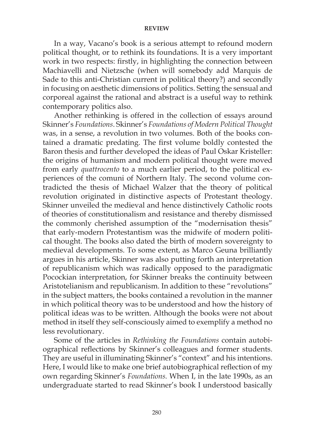In a way, Vacano's book is a serious attempt to refound modern political thought, or to rethink its foundations. It is a very important work in two respects: firstly, in highlighting the connection between Machiavelli and Nietzsche (when will somebody add Marquis de Sade to this anti-Christian current in political theory?) and secondly in focusing on aesthetic dimensions of politics. Setting the sensual and corporeal against the rational and abstract is a useful way to rethink contemporary politics also.

Another rethinking is offered in the collection of essays around Skinner's *Foundations*. Skinner's *Foundations of Modern Political Thought* was, in a sense, a revolution in two volumes. Both of the books contained a dramatic predating. The first volume boldly contested the Baron thesis and further developed the ideas of Paul Oskar Kristeller: the origins of humanism and modern political thought were moved from early *quattrocento* to a much earlier period, to the political experiences of the comuni of Northern Italy. The second volume contradicted the thesis of Michael Walzer that the theory of political revolution originated in distinctive aspects of Protestant theology. Skinner unveiled the medieval and hence distinctively Catholic roots of theories of constitutionalism and resistance and thereby dismissed the commonly cherished assumption of the "modernisation thesis" that early-modern Protestantism was the midwife of modern political thought. The books also dated the birth of modern sovereignty to medieval developments. To some extent, as Marco Geuna brilliantly argues in his article, Skinner was also putting forth an interpretation of republicanism which was radically opposed to the paradigmatic Pocockian interpretation, for Skinner breaks the continuity between Aristotelianism and republicanism. In addition to these "revolutions" in the subject matters, the books contained a revolution in the manner in which political theory was to be understood and how the history of political ideas was to be written. Although the books were not about method in itself they self-consciously aimed to exemplify a method no less revolutionary.

Some of the articles in *Rethinking the Foundations* contain autobiographical reflections by Skinner's colleagues and former students. They are useful in illuminating Skinner's "context" and his intentions. Here, I would like to make one brief autobiographical reflection of my own regarding Skinner's *Foundations.* When I, in the late 1990s, as an undergraduate started to read Skinner's book I understood basically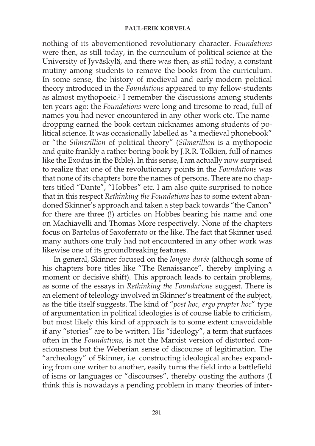## **PAUL-ERIK KORVELA**

nothing of its abovementioned revolutionary character. *Foundations* were then, as still today, in the curriculum of political science at the University of Jyväskylä, and there was then, as still today, a constant mutiny among students to remove the books from the curriculum. In some sense, the history of medieval and early-modern political theory introduced in the *Foundations* appeared to my fellow-students as almost mythopoeic.<sup>1</sup> I remember the discussions among students ten years ago: the *Foundations* were long and tiresome to read, full of names you had never encountered in any other work etc. The namedropping earned the book certain nicknames among students of political science. It was occasionally labelled as "a medieval phonebook" or "the *Silmarillion* of political theory" (*Silmarillion* is a mythopoeic and quite frankly a rather boring book by J.R.R. Tolkien, full of names like the Exodus in the Bible). In this sense, I am actually now surprised to realize that one of the revolutionary points in the *Foundations* was that none of its chapters bore the names of persons. There are no chapters titled "Dante", "Hobbes" etc. I am also quite surprised to notice that in this respect *Rethinking the Foundations* has to some extent abandoned Skinner's approach and taken a step back towards "the Canon" for there are three (!) articles on Hobbes bearing his name and one on Machiavelli and Thomas More respectively. None of the chapters focus on Bartolus of Saxoferrato or the like. The fact that Skinner used many authors one truly had not encountered in any other work was likewise one of its groundbreaking features.

In general, Skinner focused on the *longue durée* (although some of his chapters bore titles like "The Renaissance", thereby implying a moment or decisive shift). This approach leads to certain problems, as some of the essays in *Rethinking the Foundations* suggest. There is an element of teleology involved in Skinner's treatment of the subject, as the title itself suggests. The kind of "*post hoc, ergo propter hoc*" type of argumentation in political ideologies is of course liable to criticism, but most likely this kind of approach is to some extent unavoidable if any "stories" are to be written. His "ideology", a term that surfaces often in the *Foundations*, is not the Marxist version of distorted consciousness but the Weberian sense of discourse of legitimation. The "archeology" of Skinner, i.e. constructing ideological arches expanding from one writer to another, easily turns the field into a battlefield of isms or languages or "discourses", thereby ousting the authors (I think this is nowadays a pending problem in many theories of inter-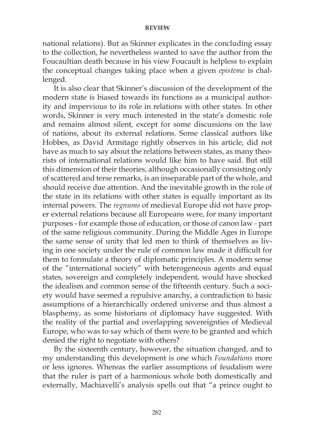national relations). But as Skinner explicates in the concluding essay to the collection, he nevertheless wanted to save the author from the Foucaultian death because in his view Foucault is helpless to explain the conceptual changes taking place when a given *episteme* is challenged.

It is also clear that Skinner's discussion of the development of the modern state is biased towards its functions as a municipal authority and impervious to its role in relations with other states. In other words, Skinner is very much interested in the state's domestic role and remains almost silent, except for some discussions on the law of nations, about its external relations. Some classical authors like Hobbes, as David Armitage rightly observes in his article, did not have as much to say about the relations between states, as many theorists of international relations would like him to have said. But still this dimension of their theories, although occasionally consisting only of scattered and terse remarks, is an inseparable part of the whole, and should receive due attention. And the inevitable growth in the role of the state in its relations with other states is equally important as its internal powers. The *regnums* of medieval Europe did not have proper external relations because all Europeans were, for many important purposes - for example those of education, or those of canon law - part of the same religious community. During the Middle Ages in Europe the same sense of unity that led men to think of themselves as living in one society under the rule of common law made it difficult for them to formulate a theory of diplomatic principles. A modern sense of the "international society" with heterogeneous agents and equal states, sovereign and completely independent, would have shocked the idealism and common sense of the fifteenth century. Such a society would have seemed a repulsive anarchy, a contradiction to basic assumptions of a hierarchically ordered universe and thus almost a blasphemy, as some historians of diplomacy have suggested. With the reality of the partial and overlapping sovereignties of Medieval Europe, who was to say which of them were to be granted and which denied the right to negotiate with others?

By the sixteenth century, however, the situation changed, and to my understanding this development is one which *Foundations* more or less ignores. Whereas the earlier assumptions of feudalism were that the ruler is part of a harmonious whole both domestically and externally, Machiavelli's analysis spells out that "a prince ought to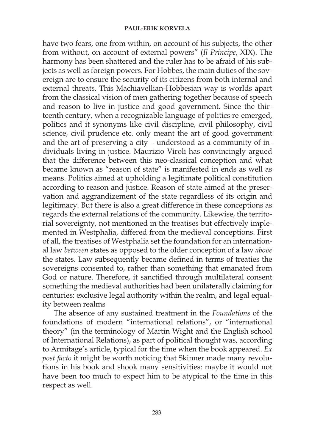## **PAUL-ERIK KORVELA**

have two fears, one from within, on account of his subjects, the other from without, on account of external powers" (*Il Principe*, XIX). The harmony has been shattered and the ruler has to be afraid of his subjects as well as foreign powers. For Hobbes, the main duties of the sovereign are to ensure the security of its citizens from both internal and external threats. This Machiavellian-Hobbesian way is worlds apart from the classical vision of men gathering together because of speech and reason to live in justice and good government. Since the thirteenth century, when a recognizable language of politics re-emerged, politics and it synonyms like civil discipline, civil philosophy, civil science, civil prudence etc. only meant the art of good government and the art of preserving a city – understood as a community of individuals living in justice. Maurizio Viroli has convincingly argued that the difference between this neo-classical conception and what became known as "reason of state" is manifested in ends as well as means. Politics aimed at upholding a legitimate political constitution according to reason and justice. Reason of state aimed at the preservation and aggrandizement of the state regardless of its origin and legitimacy. But there is also a great difference in these conceptions as regards the external relations of the community. Likewise, the territorial sovereignty, not mentioned in the treatises but effectively implemented in Westphalia, differed from the medieval conceptions. First of all, the treatises of Westphalia set the foundation for an international law *between* states as opposed to the older conception of a law *above*  the states. Law subsequently became defined in terms of treaties the sovereigns consented to, rather than something that emanated from God or nature. Therefore, it sanctified through multilateral consent something the medieval authorities had been unilaterally claiming for centuries: exclusive legal authority within the realm, and legal equality between realms

The absence of any sustained treatment in the *Foundations* of the foundations of modern "international relations", or "international theory" (in the terminology of Martin Wight and the English school of International Relations), as part of political thought was, according to Armitage's article, typical for the time when the book appeared. *Ex post facto* it might be worth noticing that Skinner made many revolutions in his book and shook many sensitivities: maybe it would not have been too much to expect him to be atypical to the time in this respect as well.